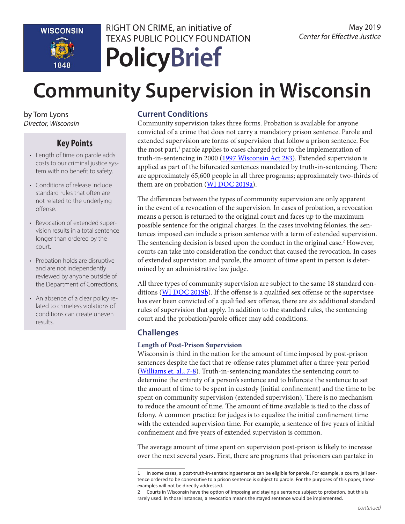

RIGHT ON CRIME, an initiative of TEXAS PUBLIC POLICY FOUNDATION

# **PolicyBrief**

# **Community Supervision in Wisconsin**

by Tom Lyons *Director, Wisconsin*

# **Key Points**

- Length of time on parole adds costs to our criminal justice system with no benefit to safety.
- Conditions of release include standard rules that often are not related to the underlying offense.
- Revocation of extended supervision results in a total sentence longer than ordered by the court.
- Probation holds are disruptive and are not independently reviewed by anyone outside of the Department of Corrections.
- An absence of a clear policy related to crimeless violations of conditions can create uneven results.

### **Current Conditions**

Community supervision takes three forms. Probation is available for anyone convicted of a crime that does not carry a mandatory prison sentence. Parole and extended supervision are forms of supervision that follow a prison sentence. For the most part,<sup>1</sup> parole applies to cases charged prior to the implementation of truth-in-sentencing in 2000 [\(1997 Wisconsin Act 283](https://docs.legis.wisconsin.gov/1997/related/acts/283)). Extended supervision is applied as part of the bifurcated sentences mandated by truth-in-sentencing. There are approximately 65,600 people in all three programs; approximately two-thirds of them are on probation ([WI DOC 2019a](https://doc.wi.gov/DataResearch/WeeklyPopulationReports/05032019.pdf)).

The differences between the types of community supervision are only apparent in the event of a revocation of the supervision. In cases of probation, a revocation means a person is returned to the original court and faces up to the maximum possible sentence for the original charges. In the cases involving felonies, the sentences imposed can include a prison sentence with a term of extended supervision. The sentencing decision is based upon the conduct in the original case.<sup>2</sup> However, courts can take into consideration the conduct that caused the revocation. In cases of extended supervision and parole, the amount of time spent in person is determined by an administrative law judge.

All three types of community supervision are subject to the same 18 standard con-ditions ([WI DOC 2019b\)](https://doc.wi.gov/Pages/AboutDOC/CommunityCorrections/SupervisionRules.aspx). If the offense is a qualified sex offense or the supervisee has ever been convicted of a qualified sex offense, there are six additional standard rules of supervision that apply. In addition to the standard rules, the sentencing court and the probation/parole officer may add conditions.

# **Challenges**

#### **Length of Post-Prison Supervision**

Wisconsin is third in the nation for the amount of time imposed by post-prison sentences despite the fact that re-offense rates plummet after a three-year period ([Williams et. al., 7-8](https://justicelab.columbia.edu/sites/default/files/content/Wisconsin%20Community%20Corrections%20Story%20final%20online%20copy.pdf)). Truth-in-sentencing mandates the sentencing court to determine the entirety of a person's sentence and to bifurcate the sentence to set the amount of time to be spent in custody (initial confinement) and the time to be spent on community supervision (extended supervision). There is no mechanism to reduce the amount of time. The amount of time available is tied to the class of felony. A common practice for judges is to equalize the initial confinement time with the extended supervision time. For example, a sentence of five years of initial confinement and five years of extended supervision is common.

The average amount of time spent on supervision post-prison is likely to increase over the next several years. First, there are programs that prisoners can partake in

<sup>1</sup> In some cases, a post-truth-in-sentencing sentence can be eligible for parole. For example, a county jail sentence ordered to be consecutive to a prison sentence is subject to parole. For the purposes of this paper, those examples will not be directly addressed.

<sup>2</sup> Courts in Wisconsin have the option of imposing and staying a sentence subject to probation, but this is rarely used. In those instances, a revocation means the stayed sentence would be implemented.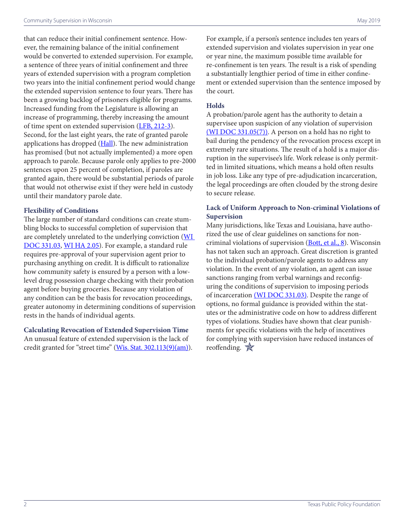that can reduce their initial confinement sentence. However, the remaining balance of the initial confinement would be converted to extended supervision. For example, a sentence of three years of initial confinement and three years of extended supervision with a program completion two years into the initial confinement period would change the extended supervision sentence to four years. There has been a growing backlog of prisoners eligible for programs. Increased funding from the Legislature is allowing an increase of programming, thereby increasing the amount of time spent on extended supervision ([LFB, 212-3](https://docs.legis.wisconsin.gov/misc/lfb/budget/2017_19_biennal_budget/101_comparative_summary_of_provisions_2017_act_59_entire_document.pdf)). Second, for the last eight years, the rate of granted parole applications has dropped [\(Hall\)](https://madison.com/wsj/news/local/crime_and_courts/paroles-plummet-under-scott-walker/article_afd603f4-7fec-5cf9-9e07-a336182e834a.html). The new administration has promised (but not actually implemented) a more open approach to parole. Because parole only applies to pre-2000 sentences upon 25 percent of completion, if paroles are granted again, there would be substantial periods of parole that would not otherwise exist if they were held in custody until their mandatory parole date.

#### **Flexibility of Conditions**

The large number of standard conditions can create stumbling blocks to successful completion of supervision that are completely unrelated to the underlying conviction (WI [DOC 331.03](http://docs.legis.wisconsin.gov/code/admin_code/doc/331/03), [WI HA 2.05\)](http://docs.legis.wisconsin.gov/code/admin_code/ha/2/05/1). For example, a standard rule requires pre-approval of your supervision agent prior to purchasing anything on credit. It is difficult to rationalize how community safety is ensured by a person with a lowlevel drug possession charge checking with their probation agent before buying groceries. Because any violation of any condition can be the basis for revocation proceedings, greater autonomy in determining conditions of supervision rests in the hands of individual agents.

#### **Calculating Revocation of Extended Supervision Time**

An unusual feature of extended supervision is the lack of credit granted for "street time" [\(Wis. Stat. 302.113\(9\)\(am\)\)](https://docs.legis.wisconsin.gov/statutes/statutes/302/113/9/am). For example, if a person's sentence includes ten years of extended supervision and violates supervision in year one or year nine, the maximum possible time available for re-confinement is ten years. The result is a risk of spending a substantially lengthier period of time in either confinement or extended supervision than the sentence imposed by the court.

#### **Holds**

A probation/parole agent has the authority to detain a supervisee upon suspicion of any violation of supervision [\(WI DOC 331.05\(7\)\).](https://docs.legis.wisconsin.gov/code/admin_code/doc/331/05/7) A person on a hold has no right to bail during the pendency of the revocation process except in extremely rare situations. The result of a hold is a major disruption in the supervisee's life. Work release is only permitted in limited situations, which means a hold often results in job loss. Like any type of pre-adjudication incarceration, the legal proceedings are often clouded by the strong desire to secure release.

#### **Lack of Uniform Approach to Non-criminal Violations of Supervision**

Many jurisdictions, like Texas and Louisiana, have authorized the use of clear guidelines on sanctions for non-criminal violations of supervision ([Bott, et al., 8\)](https://www.badgerinstitute.org/BI-Files/Special-Reports/Reports-Documents/Criminal_justice_recommendations.pdf). Wisconsin has not taken such an approach. Great discretion is granted to the individual probation/parole agents to address any violation. In the event of any violation, an agent can issue sanctions ranging from verbal warnings and reconfiguring the conditions of supervision to imposing periods of incarceration [\(WI DOC 331.03\).](https://docs.legis.wisconsin.gov/document/administrativecode/DOC%20331.03) Despite the range of options, no formal guidance is provided within the statutes or the administrative code on how to address different types of violations. Studies have shown that clear punishments for specific violations with the help of incentives for complying with supervision have reduced instances of reoffending.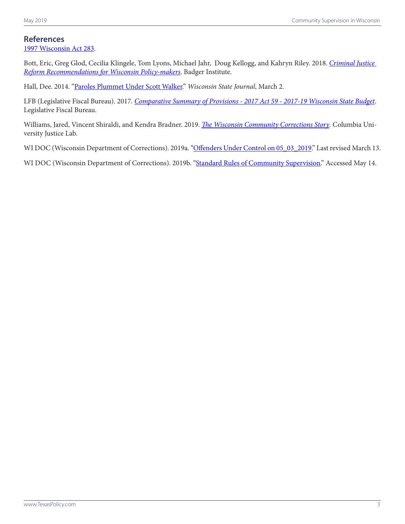## **References**

[1997 Wisconsin Act 283](https://docs.legis.wisconsin.gov/1997/related/acts/283).

Bott, Eric, Greg Glod, Cecilia Klingele, Tom Lyons, Michael Jahr, Doug Kellogg, and Kahryn Riley. 2018. *[Criminal Justice](https://www.badgerinstitute.org/BI-Files/Special-Reports/Reports-Documents/Criminal_justice_recommendations.pdf)  [Reform Recommendations for Wisconsin Policy-makers](https://www.badgerinstitute.org/BI-Files/Special-Reports/Reports-Documents/Criminal_justice_recommendations.pdf)*. Badger Institute.

Hall, Dee. 2014. ["Paroles Plummet Under Scott Walker.](https://madison.com/wsj/news/local/crime_and_courts/paroles-plummet-under-scott-walker/article_afd603f4-7fec-5cf9-9e07-a336182e834a.html)" *Wisconsin State Journal*, March 2.

LFB (Legislative Fiscal Bureau). 2017. *[Comparative Summary of Provisions - 2017 Act 59 - 2017-19 Wisconsin State Budget](https://docs.legis.wisconsin.gov/misc/lfb/budget/2017_19_biennal_budget/101_comparative_summary_of_provisions_2017_act_59_entire_document.pdf)*. Legislative Fiscal Bureau.

Williams, Jared, Vincent Shiraldi, and Kendra Bradner. 2019. *[The Wisconsin Community Corrections Story](https://justicelab.columbia.edu/sites/default/files/content/Wisconsin%20Community%20Corrections%20Story%20final%20online%20copy.pdf)*. Columbia University Justice Lab.

WI DOC (Wisconsin Department of Corrections). 2019a. ["Offenders Under Control on 05\\_03\\_2019](https://doc.wi.gov/DataResearch/WeeklyPopulationReports/05032019.pdf)." Last revised March 13.

WI DOC (Wisconsin Department of Corrections). 2019b. ["Standard Rules of Community Supervision.](https://doc.wi.gov/Pages/AboutDOC/CommunityCorrections/SupervisionRules.aspx)" Accessed May 14.